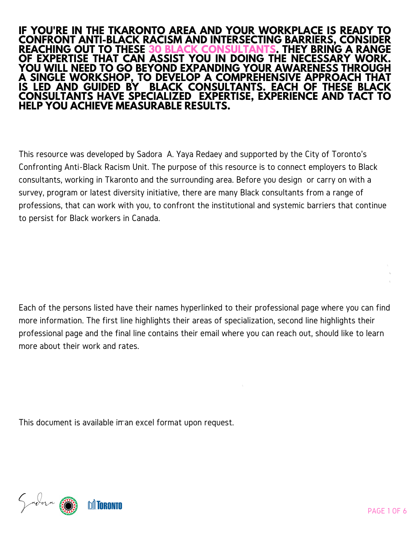**IF YOU'RE IN THE TKARONTO AREA AND YOUR WORKPLACE IS READY TO CONFRONT ANTI-BLACK RACISM AND INTERSECTING BARRIERS, CONSIDER REACHING OUT TO THESE 30 BLACK CONSULTANTS. THEY BRING A RANGE** YOU WILL NEED TO GO BEYOND EXPANDING YOUR AWARENESS THROUGH **A SINGLE WORKSHOP, TO DEVELOP A COMPREHENSIVE APPROACH THAT IS LED AND GUIDED BY BLACK CONSULTANTS. EACH OF THESE BLACK CONSULTANTS HAVE SPECIALIZED EXPERTISE, EXPERIENCE AND TACT TO HELP YOU ACHIEVE MEASURABLE RESULTS.**

This resource was developed by Sadora A. Yaya Redaey and supported by the City of Toronto's Confronting Anti-Black Racism Unit. The purpose of this resource is to connect employers to Black consultants, working in Tkaronto and the surrounding area. Before you design or carry on with a survey, program or latest diversity initiative, there are many Black consultants from a range of professions, that can work with you, to confront the institutional and systemic barriers that continue to persist for Black workers in Canada.

Each of the persons listed have their names hyperlinked to their professional page where you can find more information. The first line highlights their areas of specialization, second line highlights their professional page and the final line contains their email where you can reach out, should like to learn more about their work and rates.

This document is available in an excel format upon request.



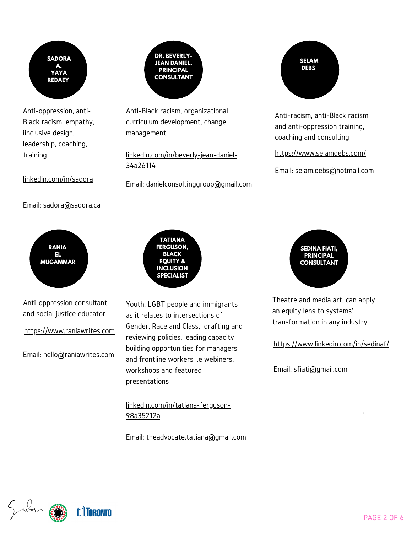

Anti-oppression, anti- Black racism, empathy, iinclusive design, leadership, coaching, training

## [linkedin.com/in/sadora](http://linkedin.com/in/sadora)

Email: [sadora@sadora.ca](http://linkedin.com/in/sadora)



Anti-oppression consultant and social justice educator

[https://www.raniawrites.com](https://www.raniawrites.com/)

Email: hello@raniawrites.com



Anti-Black racism, organizational curriculum development, change management

[linkedin.com/in/beverly-jean-daniel-](http://linkedin.com/in/beverly-jean-daniel-34a26114) 34a26114

Email: danielconsultinggroup@gmail.com



Anti-racism, anti-Black racism and anti-oppression training, coaching and consulting

<https://www.selamdebs.com/>

Email: selam.debs@hotmail.com



Youth, LGBT people and immigrants as it relates to intersections of Gender, Race and Class, drafting and reviewing policies, leading capacity building opportunities for managers and frontline workers i.e webiners, workshops and featured presentations

[linkedin.com/in/tatiana-ferguson-](http://linkedin.com/in/tatiana-ferguson-98a35212a) 98a35212a

Email: theadvocate.tatiana@gmail.com



Theatre and media art, can apply an equity lens to systems' transformation in any industry

<https://www.linkedin.com/in/sedinaf/>

Email: sfiati@gmail.com

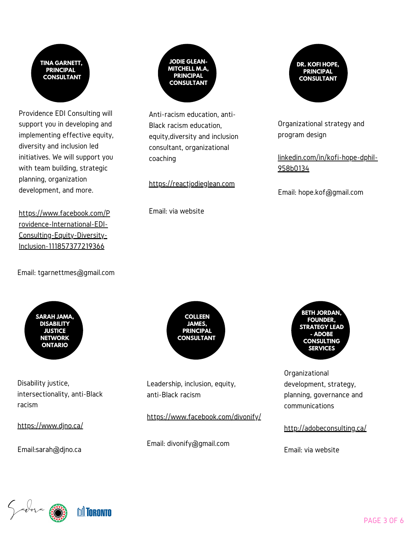**TINA GARNETT, [PRINCIPAL](https://www.facebook.com/Providence-International-EDI-Consulting-Equity-Diversity-Inclusion-111857377219366) [CONSULTANT](https://www.facebook.com/Providence-International-EDI-Consulting-Equity-Diversity-Inclusion-111857377219366)**

Providence EDI Consulting will support you in developing and implementing effective equity, diversity and inclusion led initiatives. We will support you with team building, strategic planning, organization development, and more.

[https://www.facebook.com/P](https://www.facebook.com/Providence-International-EDI-Consulting-Equity-Diversity-Inclusion-111857377219366) rovidence-International-EDI- Consulting-Equity-Diversity-Inclusion-111857377219366

Email: tgarnettmes@gmail.com



Disability justice, intersectionality, anti-Black racism

<https://www.djno.ca/>

Email:sarah@djno.ca



Anti-racism education, anti- Black racism education, equity,diversity and inclusion consultant, organizational coaching

[https://reactjodieglean.com](https://reactjodieglean.com/)

Email: via website



Organizational strategy and program design

[linkedin.com/in/kofi-hope-dphil-](http://linkedin.com/in/kofi-hope-dphil-958b0134) 958b0134

Email: hope.kof@gmail.com



Leadership, inclusion, equity, anti-Black racism

<https://www.facebook.com/divonify/>

Email: divonify@gmail.com



Organizational development, strategy, planning, governance and communications

<http://adobeconsulting.ca/>

[E](http://adobeconsulting.ca/)mail: via website

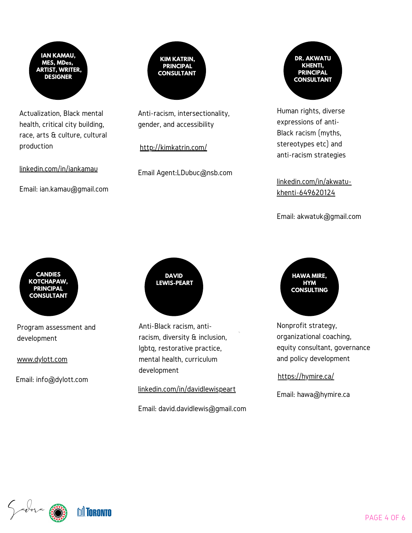

Actualization, Black mental health, critical city building, race, arts & culture, cultural production

[linkedin.com/in/iankamau](http://linkedin.com/in/iankamau)

Email: ian.kamau@gmail.com



Anti-racism, intersectionality, gender, and accessibility

<http://kimkatrin.com/>

Email Agent:LDubuc@nsb.com



Human rights, diverse expressions of anti- Black racism (myths, stereotypes etc) and anti-racism strategies

[linkedin.com/in/akwatu](http://linkedin.com/in/akwatu-khenti-649620124) khenti-649620124

Email: akwatuk@gmail.com



Program assessment and development

[www.dylott.com](http://www.dylott.com/)

Email: info@dylott.com



Anti-Black racism, antiracism, diversity & inclusion, lgbtq, restorative practice, mental health, curriculum development

[linkedin.com/in/davidlewispeart](http://linkedin.com/in/davidlewispeart)

Email: david.davidlewis@gmail.com



Nonprofit strategy, organizational coaching, equity consultant, governance and policy development

# <https://hymire.ca/>

Email: hawa@hymire.ca

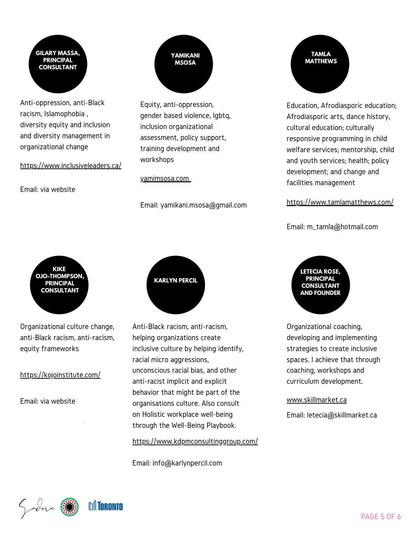

Anti-oppression, anti-Black racism, Islamophobia , diversity equity and inclusion and diversity management in organizational change

<https://www.inclusiveleaders.ca/>

Email: via website



Equity, anti-oppression, gender based violence, lgbtq, inclusion organizational assessment, policy support, training development and workshops

#### [yamimsosa.com](http://yamimsosa.com/)

Email: yamikani.msosa@gmail.com



Education, Afrodiasporic education; Afrodiasporic arts, dance history, cultural education; culturally responsive programming in child welfare services; mentorship, child and youth services; health; policy development; and change and facilities management

## <https://www.tamlamatthews.com/>

Email: m\_tamla@hotmail.com



Organizational coaching, developing and implementing strategies to create inclusive spaces. I achieve that through coaching, workshops and curriculum development.

#### [www.skillmarket.ca](http://www.skillmarket.ca/)

Email: letecia@skillmarket.ca

**[KIKE](https://kojoinstitute.com/) [OJO-THOMPSON,](https://kojoinstitute.com/) PRINCIPAL CONSULTANT**

Organizational culture change, anti-Black racism, anti-racism, equity frameworks

## <https://kojoinstitute.com/>

Email: via website



Anti-Black racism, anti-racism, helping organizations create inclusive culture by helping identify, racial micro aggressions, unconscious racial bias, and other anti-racist implicit and explicit behavior that might be part of the organisations culture. Also consult on Holistic workplace well-being through the Well-Being Playbook.

<https://www.kdpmconsultinggroup.com/>

Email: info@karlynpercil.com